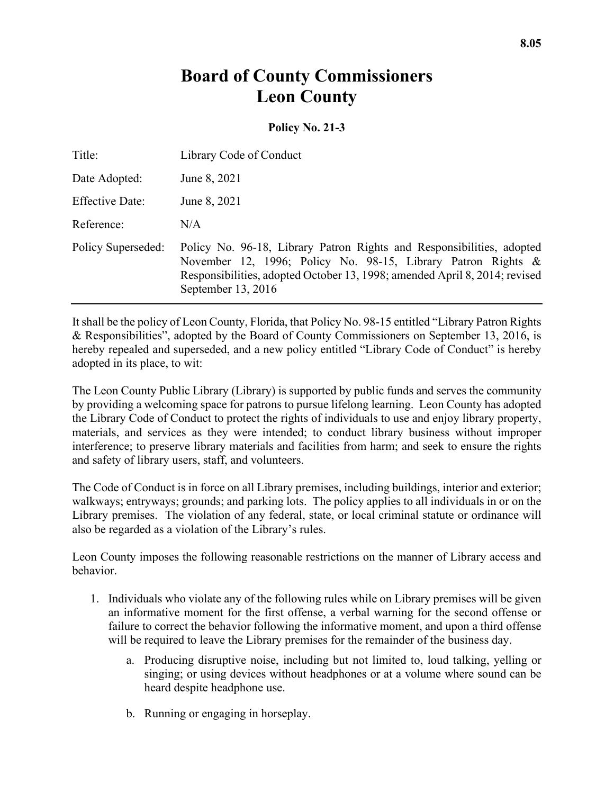## **Board of County Commissioners Leon County**

## **Policy No. 21-3**

| Title:                 | Library Code of Conduct                                                                                                                                                                                                                   |
|------------------------|-------------------------------------------------------------------------------------------------------------------------------------------------------------------------------------------------------------------------------------------|
| Date Adopted:          | June 8, 2021                                                                                                                                                                                                                              |
| <b>Effective Date:</b> | June 8, 2021                                                                                                                                                                                                                              |
| Reference:             | N/A                                                                                                                                                                                                                                       |
| Policy Superseded:     | Policy No. 96-18, Library Patron Rights and Responsibilities, adopted<br>November 12, 1996; Policy No. 98-15, Library Patron Rights &<br>Responsibilities, adopted October 13, 1998; amended April 8, 2014; revised<br>September 13, 2016 |

It shall be the policy of Leon County, Florida, that Policy No. 98-15 entitled "Library Patron Rights & Responsibilities", adopted by the Board of County Commissioners on September 13, 2016, is hereby repealed and superseded, and a new policy entitled "Library Code of Conduct" is hereby adopted in its place, to wit:

The Leon County Public Library (Library) is supported by public funds and serves the community by providing a welcoming space for patrons to pursue lifelong learning. Leon County has adopted the Library Code of Conduct to protect the rights of individuals to use and enjoy library property, materials, and services as they were intended; to conduct library business without improper interference; to preserve library materials and facilities from harm; and seek to ensure the rights and safety of library users, staff, and volunteers.

The Code of Conduct is in force on all Library premises, including buildings, interior and exterior; walkways; entryways; grounds; and parking lots. The policy applies to all individuals in or on the Library premises. The violation of any federal, state, or local criminal statute or ordinance will also be regarded as a violation of the Library's rules.

Leon County imposes the following reasonable restrictions on the manner of Library access and behavior.

- 1. Individuals who violate any of the following rules while on Library premises will be given an informative moment for the first offense, a verbal warning for the second offense or failure to correct the behavior following the informative moment, and upon a third offense will be required to leave the Library premises for the remainder of the business day.
	- a. Producing disruptive noise, including but not limited to, loud talking, yelling or singing; or using devices without headphones or at a volume where sound can be heard despite headphone use.
	- b. Running or engaging in horseplay.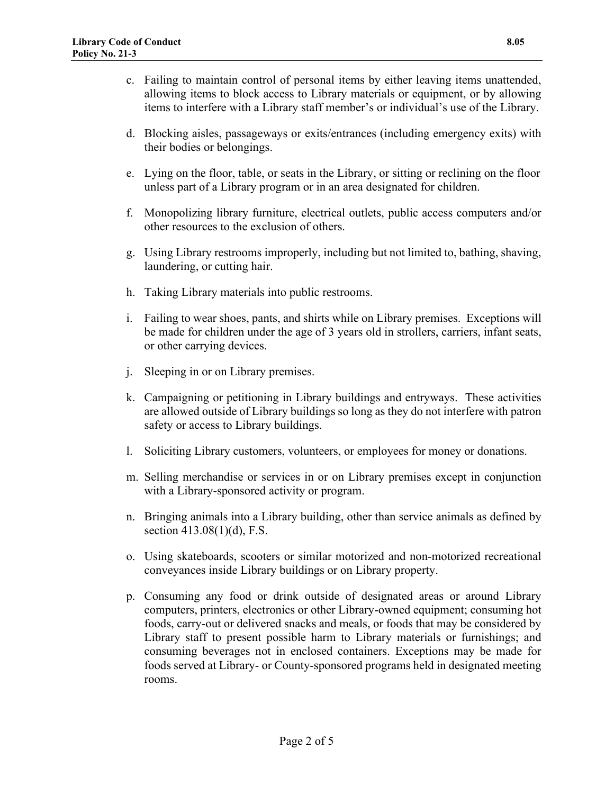- c. Failing to maintain control of personal items by either leaving items unattended, allowing items to block access to Library materials or equipment, or by allowing items to interfere with a Library staff member's or individual's use of the Library.
- d. Blocking aisles, passageways or exits/entrances (including emergency exits) with their bodies or belongings.
- e. Lying on the floor, table, or seats in the Library, or sitting or reclining on the floor unless part of a Library program or in an area designated for children.
- f. Monopolizing library furniture, electrical outlets, public access computers and/or other resources to the exclusion of others.
- g. Using Library restrooms improperly, including but not limited to, bathing, shaving, laundering, or cutting hair.
- h. Taking Library materials into public restrooms.
- i. Failing to wear shoes, pants, and shirts while on Library premises. Exceptions will be made for children under the age of 3 years old in strollers, carriers, infant seats, or other carrying devices.
- j. Sleeping in or on Library premises.
- k. Campaigning or petitioning in Library buildings and entryways. These activities are allowed outside of Library buildings so long as they do not interfere with patron safety or access to Library buildings.
- l. Soliciting Library customers, volunteers, or employees for money or donations.
- m. Selling merchandise or services in or on Library premises except in conjunction with a Library-sponsored activity or program.
- n. Bringing animals into a Library building, other than service animals as defined by section 413.08(1)(d), F.S.
- o. Using skateboards, scooters or similar motorized and non-motorized recreational conveyances inside Library buildings or on Library property.
- p. Consuming any food or drink outside of designated areas or around Library computers, printers, electronics or other Library-owned equipment; consuming hot foods, carry-out or delivered snacks and meals, or foods that may be considered by Library staff to present possible harm to Library materials or furnishings; and consuming beverages not in enclosed containers. Exceptions may be made for foods served at Library- or County-sponsored programs held in designated meeting rooms.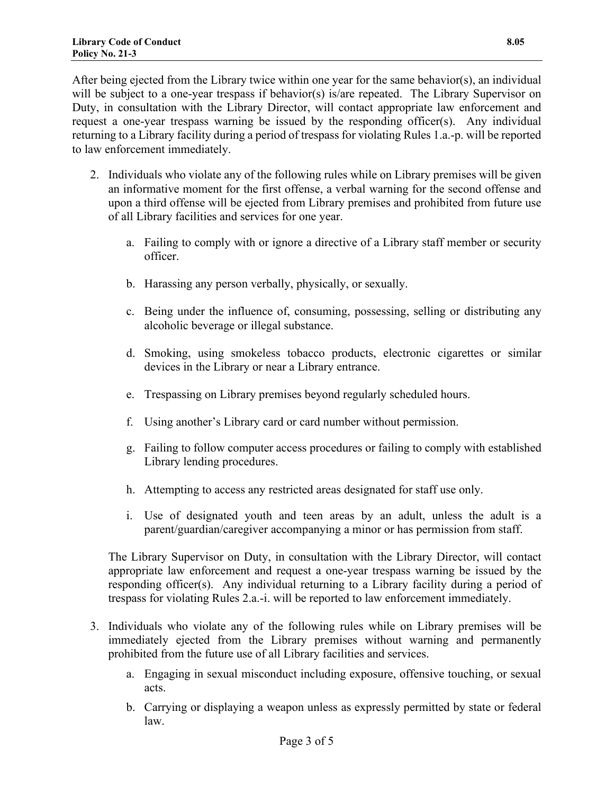After being ejected from the Library twice within one year for the same behavior(s), an individual will be subject to a one-year trespass if behavior(s) is/are repeated. The Library Supervisor on Duty, in consultation with the Library Director, will contact appropriate law enforcement and request a one-year trespass warning be issued by the responding officer(s). Any individual returning to a Library facility during a period of trespass for violating Rules 1.a.-p. will be reported to law enforcement immediately.

- 2. Individuals who violate any of the following rules while on Library premises will be given an informative moment for the first offense, a verbal warning for the second offense and upon a third offense will be ejected from Library premises and prohibited from future use of all Library facilities and services for one year.
	- a. Failing to comply with or ignore a directive of a Library staff member or security officer.
	- b. Harassing any person verbally, physically, or sexually.
	- c. Being under the influence of, consuming, possessing, selling or distributing any alcoholic beverage or illegal substance.
	- d. Smoking, using smokeless tobacco products, electronic cigarettes or similar devices in the Library or near a Library entrance.
	- e. Trespassing on Library premises beyond regularly scheduled hours.
	- f. Using another's Library card or card number without permission.
	- g. Failing to follow computer access procedures or failing to comply with established Library lending procedures.
	- h. Attempting to access any restricted areas designated for staff use only.
	- i. Use of designated youth and teen areas by an adult, unless the adult is a parent/guardian/caregiver accompanying a minor or has permission from staff.

The Library Supervisor on Duty, in consultation with the Library Director, will contact appropriate law enforcement and request a one-year trespass warning be issued by the responding officer(s). Any individual returning to a Library facility during a period of trespass for violating Rules 2.a.-i. will be reported to law enforcement immediately.

- 3. Individuals who violate any of the following rules while on Library premises will be immediately ejected from the Library premises without warning and permanently prohibited from the future use of all Library facilities and services.
	- a. Engaging in sexual misconduct including exposure, offensive touching, or sexual acts.
	- b. Carrying or displaying a weapon unless as expressly permitted by state or federal law.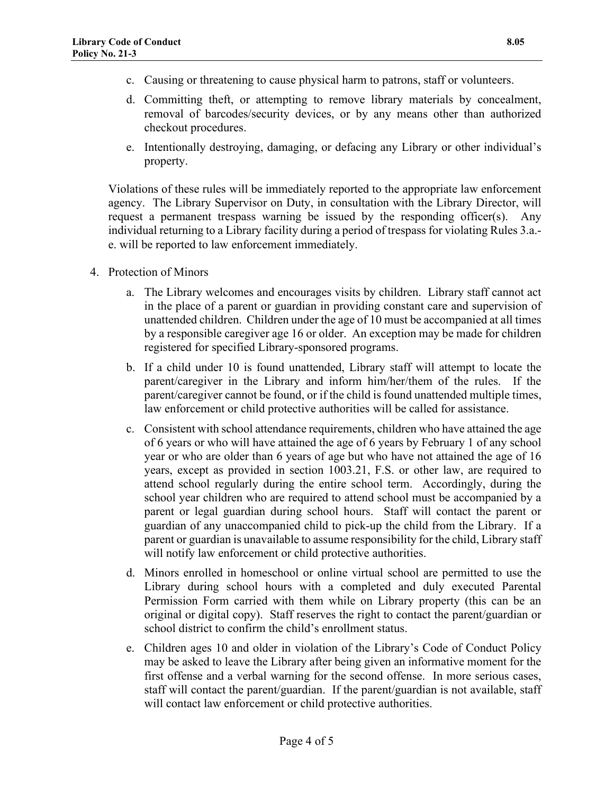- c. Causing or threatening to cause physical harm to patrons, staff or volunteers.
- d. Committing theft, or attempting to remove library materials by concealment, removal of barcodes/security devices, or by any means other than authorized checkout procedures.
- e. Intentionally destroying, damaging, or defacing any Library or other individual's property.

Violations of these rules will be immediately reported to the appropriate law enforcement agency. The Library Supervisor on Duty, in consultation with the Library Director, will request a permanent trespass warning be issued by the responding officer(s). Any individual returning to a Library facility during a period of trespass for violating Rules 3.a. e. will be reported to law enforcement immediately.

- 4. Protection of Minors
	- a. The Library welcomes and encourages visits by children. Library staff cannot act in the place of a parent or guardian in providing constant care and supervision of unattended children. Children under the age of 10 must be accompanied at all times by a responsible caregiver age 16 or older. An exception may be made for children registered for specified Library-sponsored programs.
	- b. If a child under 10 is found unattended, Library staff will attempt to locate the parent/caregiver in the Library and inform him/her/them of the rules. If the parent/caregiver cannot be found, or if the child is found unattended multiple times, law enforcement or child protective authorities will be called for assistance.
	- c. Consistent with school attendance requirements, children who have attained the age of 6 years or who will have attained the age of 6 years by February 1 of any school year or who are older than 6 years of age but who have not attained the age of 16 years, except as provided in section 1003.21, F.S. or other law, are required to attend school regularly during the entire school term. Accordingly, during the school year children who are required to attend school must be accompanied by a parent or legal guardian during school hours. Staff will contact the parent or guardian of any unaccompanied child to pick-up the child from the Library. If a parent or guardian is unavailable to assume responsibility for the child, Library staff will notify law enforcement or child protective authorities.
	- d. Minors enrolled in homeschool or online virtual school are permitted to use the Library during school hours with a completed and duly executed Parental Permission Form carried with them while on Library property (this can be an original or digital copy). Staff reserves the right to contact the parent/guardian or school district to confirm the child's enrollment status.
	- e. Children ages 10 and older in violation of the Library's Code of Conduct Policy may be asked to leave the Library after being given an informative moment for the first offense and a verbal warning for the second offense. In more serious cases, staff will contact the parent/guardian. If the parent/guardian is not available, staff will contact law enforcement or child protective authorities.